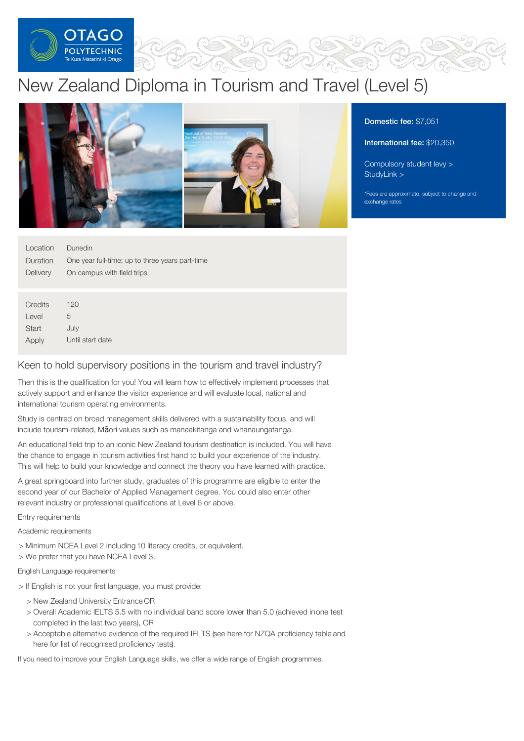

# New Zealand Diploma in Tourism and Travel (Level 5)



| Dunedin                                         |
|-------------------------------------------------|
| One year full-time; up to three years part-time |
| On campus with field trips                      |
|                                                 |

**Credits** Level **Start** Apply 120 5 July Until start date

### Keen to hold supervisory positions in the tourism and travel industry?

Then this is the qualification for you! You will learn how to effectively implement processes that actively support and enhance the visitor experience and will evaluate local, national and international tourism operating environments.

Study is centred on broad management skills delivered with a sustainability focus, and will include tourism-related, Māori values such as manaakitanga and whanaungatanga.

An educational field trip to an iconic New Zealand tourism destination is included. You will have the chance to engage in tourism activities first hand to build your experience of the industry. This will help to build your knowledge and connect the theory you have learned with practice.

A great springboard into further study, graduates of this programme are eligible to enter the second year of our Bachelor of Applied Management degree. You could also enter other relevant industry or professional qualifications at Level 6 or above.

Entry requirements

Academic requirements

- > Minimum NCEA Level 2 including 10 literacy credits, or equivalent.
- > We prefer that you have NCEA Level 3.

English Language requirements

- > If English is not your first language, you must provide:
	- > New Zealand University Entrance OR
	- > Overall Academic IELTS 5.5 with no individual band score lower than 5.0 (achieved inone test completed in the last two years), OR
	- > Acceptable alternative evidence of the required IELTS (see here for NZQA proficiency table and here for list of recognised proficiency tests).

If you need to improve your English Language skills, we offer a wide range of English programmes.

## Domestic fee: \$7,051

International fee: \$20,350

[Compulsory](https://online.op.ac.nz/students/important-information/student-services-levy/) student levy >

\*Fees are approximate, subject to change and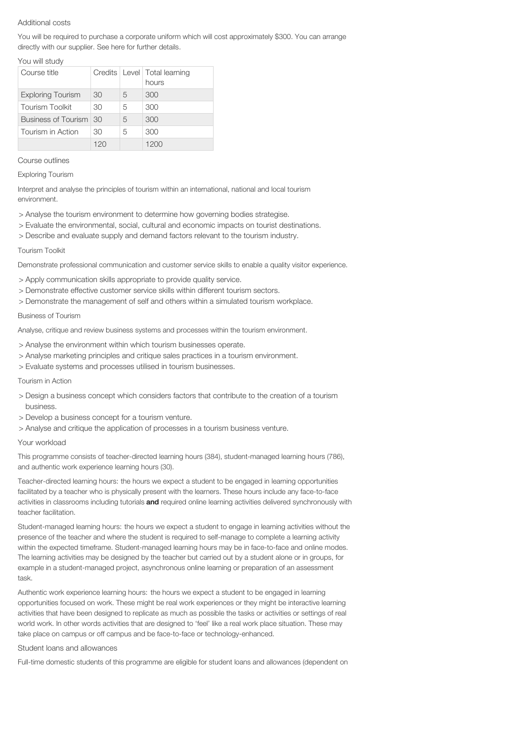#### Additional costs

You will be required to purchase a corporate uniform which will cost approximately \$300. You can arrange directly with our supplier. See here for further details.

#### You will study

| Course title             |     |   | Credits   Level   Total learning<br>hours |
|--------------------------|-----|---|-------------------------------------------|
| <b>Exploring Tourism</b> | 30  | 5 | 300                                       |
| <b>Tourism Toolkit</b>   | 30  | 5 | 300                                       |
| Business of Tourism 30   |     | 5 | 300                                       |
| Tourism in Action        | 30  | 5 | 300                                       |
|                          | 120 |   | 1200                                      |

#### Course outlines

Exploring Tourism

Interpret and analyse the principles of tourism within an international, national and local tourism environment.

- > Analyse the tourism environment to determine how governing bodies strategise.
- > Evaluate the environmental, social, cultural and economic impacts on tourist destinations.
- > Describe and evaluate supply and demand factors relevant to the tourism industry.

#### Tourism Toolkit

Demonstrate professional communication and customer service skills to enable a quality visitor experience.

- > Apply communication skills appropriate to provide quality service.
- > Demonstrate effective customer service skills within different tourism sectors.
- > Demonstrate the management of self and others within a simulated tourism workplace.

#### Business of Tourism

Analyse, critique and review business systems and processes within the tourism environment.

- > Analyse the environment within which tourism businesses operate.
- > Analyse marketing principles and critique sales practices in a tourism environment.
- > Evaluate systems and processes utilised in tourism businesses.

#### Tourism in Action

- > Design a business concept which considers factors that contribute to the creation of a tourism business.
- > Develop a business concept for a tourism venture.
- > Analyse and critique the application of processes in a tourism business venture.

#### Your workload

This programme consists of teacher-directed learning hours (384), student-managed learning hours (786), and authentic work experience learning hours (30).

Teacher-directed learning hours: the hours we expect a student to be engaged in learning opportunities facilitated by a teacher who is physically present with the learners. These hours include any face-to-face activities in classrooms including tutorials **and** required online learning activities delivered synchronously with teacher facilitation.

Student-managed learning hours: the hours we expect a student to engage in learning activities without the presence of the teacher and where the student is required to self-manage to complete a learning activity within the expected timeframe. Student-managed learning hours may be in face-to-face and online modes. The learning activities may be designed by the teacher but carried out by a student alone or in groups, for example in a student-managed project, asynchronous online learning or preparation of an assessment task.

Authentic work experience learning hours: the hours we expect a student to be engaged in learning opportunities focused on work. These might be real work experiences or they might be interactive learning activities that have been designed to replicate as much as possible the tasks or activities or settings of real world work. In other words activities that are designed to 'feel' like a real work place situation. These may take place on campus or off campus and be face-to-face or technology-enhanced.

#### Student loans and allowances

Full-time domestic students of this programme are eligible for student loans and allowances (dependent on